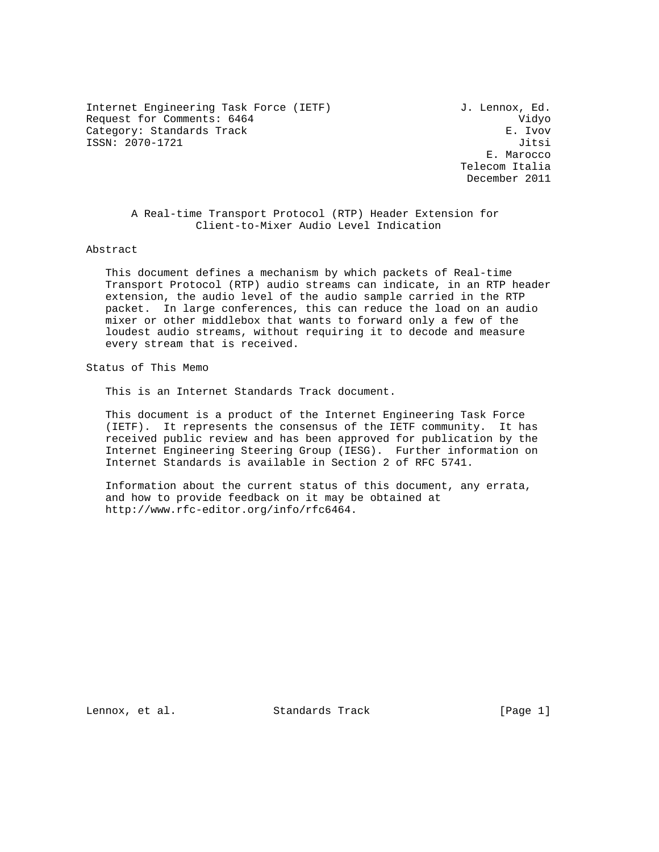Internet Engineering Task Force (IETF) J. Lennox, Ed. Request for Comments: 6464 Vidyo Category: Standards Track extension of the E. Ivov ISSN: 2070-1721 Jitsi

 E. Marocco Telecom Italia December 2011

 A Real-time Transport Protocol (RTP) Header Extension for Client-to-Mixer Audio Level Indication

Abstract

 This document defines a mechanism by which packets of Real-time Transport Protocol (RTP) audio streams can indicate, in an RTP header extension, the audio level of the audio sample carried in the RTP packet. In large conferences, this can reduce the load on an audio mixer or other middlebox that wants to forward only a few of the loudest audio streams, without requiring it to decode and measure every stream that is received.

Status of This Memo

This is an Internet Standards Track document.

 This document is a product of the Internet Engineering Task Force (IETF). It represents the consensus of the IETF community. It has received public review and has been approved for publication by the Internet Engineering Steering Group (IESG). Further information on Internet Standards is available in Section 2 of RFC 5741.

 Information about the current status of this document, any errata, and how to provide feedback on it may be obtained at http://www.rfc-editor.org/info/rfc6464.

Lennox, et al. Standards Track [Page 1]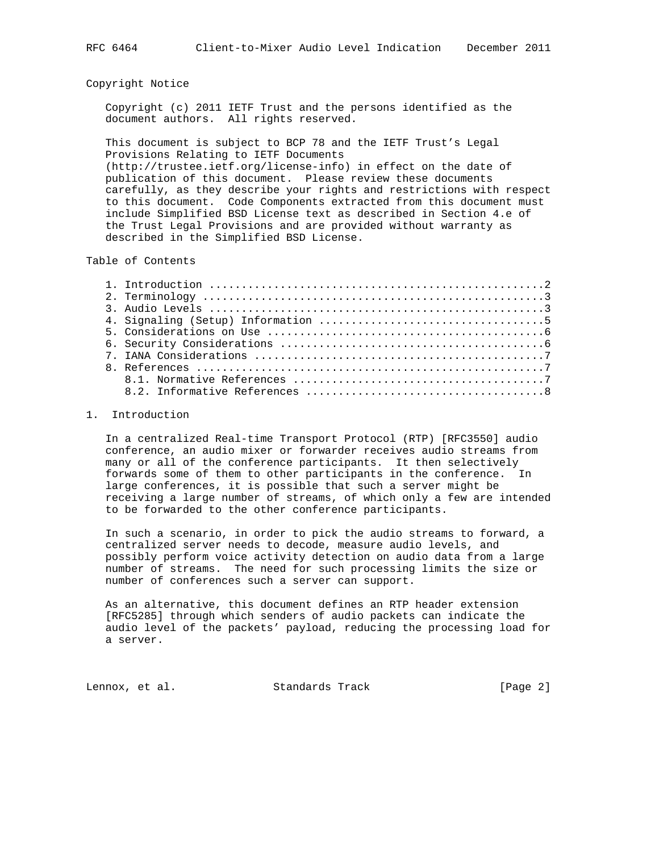## Copyright Notice

 Copyright (c) 2011 IETF Trust and the persons identified as the document authors. All rights reserved.

 This document is subject to BCP 78 and the IETF Trust's Legal Provisions Relating to IETF Documents (http://trustee.ietf.org/license-info) in effect on the date of publication of this document. Please review these documents carefully, as they describe your rights and restrictions with respect to this document. Code Components extracted from this document must include Simplified BSD License text as described in Section 4.e of the Trust Legal Provisions and are provided without warranty as described in the Simplified BSD License.

Table of Contents

| 3. Audio Levels $\dots\dots\dots\dots\dots\dots\dots\dots\dots\dots\dots\dots\dots\dots\dots\dots\dots$ |  |
|---------------------------------------------------------------------------------------------------------|--|
|                                                                                                         |  |
|                                                                                                         |  |
|                                                                                                         |  |
|                                                                                                         |  |
|                                                                                                         |  |
|                                                                                                         |  |
|                                                                                                         |  |

## 1. Introduction

 In a centralized Real-time Transport Protocol (RTP) [RFC3550] audio conference, an audio mixer or forwarder receives audio streams from many or all of the conference participants. It then selectively forwards some of them to other participants in the conference. In large conferences, it is possible that such a server might be receiving a large number of streams, of which only a few are intended to be forwarded to the other conference participants.

 In such a scenario, in order to pick the audio streams to forward, a centralized server needs to decode, measure audio levels, and possibly perform voice activity detection on audio data from a large number of streams. The need for such processing limits the size or number of conferences such a server can support.

 As an alternative, this document defines an RTP header extension [RFC5285] through which senders of audio packets can indicate the audio level of the packets' payload, reducing the processing load for a server.

Lennox, et al. Standards Track [Page 2]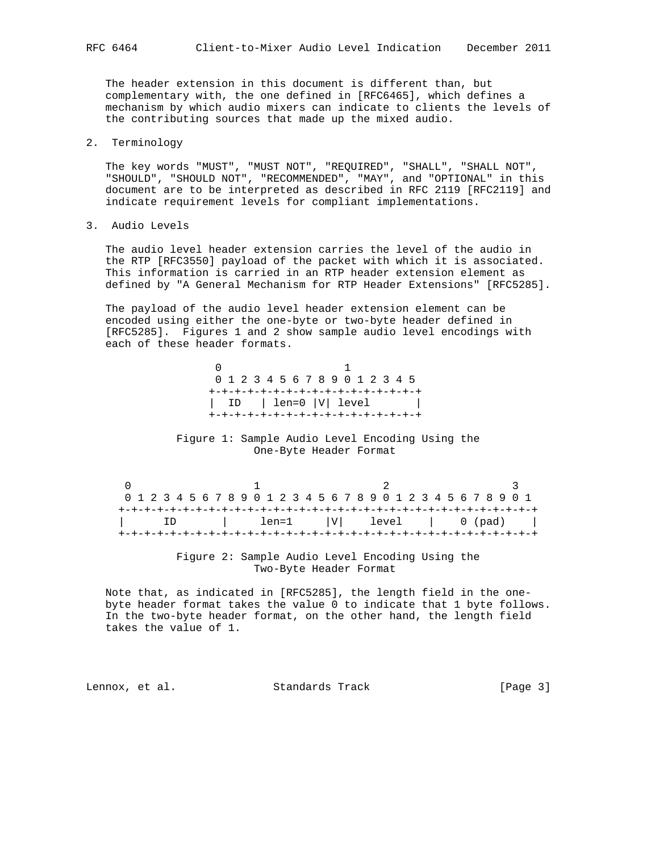The header extension in this document is different than, but complementary with, the one defined in [RFC6465], which defines a mechanism by which audio mixers can indicate to clients the levels of the contributing sources that made up the mixed audio.

2. Terminology

 The key words "MUST", "MUST NOT", "REQUIRED", "SHALL", "SHALL NOT", "SHOULD", "SHOULD NOT", "RECOMMENDED", "MAY", and "OPTIONAL" in this document are to be interpreted as described in RFC 2119 [RFC2119] and indicate requirement levels for compliant implementations.

3. Audio Levels

 The audio level header extension carries the level of the audio in the RTP [RFC3550] payload of the packet with which it is associated. This information is carried in an RTP header extension element as defined by "A General Mechanism for RTP Header Extensions" [RFC5285].

 The payload of the audio level header extension element can be encoded using either the one-byte or two-byte header defined in [RFC5285]. Figures 1 and 2 show sample audio level encodings with each of these header formats.

|                                     | 0 1 2 3 4 5 6 7 8 9 0 1 2 3 4 5 |  |  |  |  |  |  |  |  |  |  |  |  |
|-------------------------------------|---------------------------------|--|--|--|--|--|--|--|--|--|--|--|--|
| +-+-+-+-+-+-+-+-+-+-+-+-+-+-+-+-+-  |                                 |  |  |  |  |  |  |  |  |  |  |  |  |
|                                     | ID   len=0  V  level            |  |  |  |  |  |  |  |  |  |  |  |  |
| +-+-+-+-+-+-+-+-+-+-+-+-+-+-+-+-+-+ |                                 |  |  |  |  |  |  |  |  |  |  |  |  |

 Figure 1: Sample Audio Level Encoding Using the One-Byte Header Format

 $\begin{array}{cccccccccccccc} 0 & & & & 1 & & & & 2 & & & & 3 \end{array}$  0 1 2 3 4 5 6 7 8 9 0 1 2 3 4 5 6 7 8 9 0 1 2 3 4 5 6 7 8 9 0 1 +-+-+-+-+-+-+-+-+-+-+-+-+-+-+-+-+-+-+-+-+-+-+-+-+-+-+-+-+-+-+-+-+ | ID | len=1 |V| level | 0 (pad) | +-+-+-+-+-+-+-+-+-+-+-+-+-+-+-+-+-+-+-+-+-+-+-+-+-+-+-+-+-+-+-+-+

> Figure 2: Sample Audio Level Encoding Using the Two-Byte Header Format

 Note that, as indicated in [RFC5285], the length field in the one byte header format takes the value 0 to indicate that 1 byte follows. In the two-byte header format, on the other hand, the length field takes the value of 1.

Lennox, et al. Standards Track [Page 3]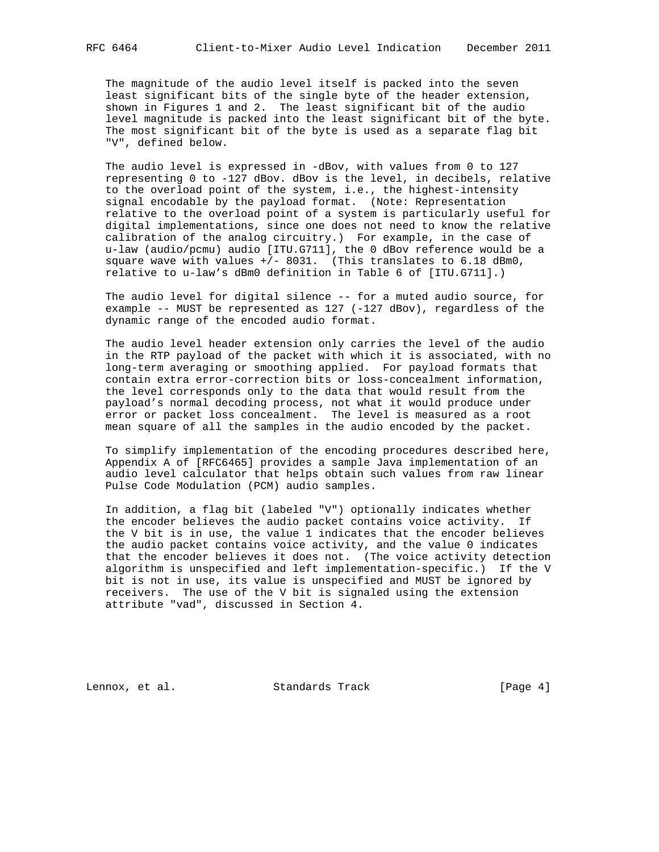The magnitude of the audio level itself is packed into the seven least significant bits of the single byte of the header extension, shown in Figures 1 and 2. The least significant bit of the audio level magnitude is packed into the least significant bit of the byte. The most significant bit of the byte is used as a separate flag bit "V", defined below.

 The audio level is expressed in -dBov, with values from 0 to 127 representing 0 to -127 dBov. dBov is the level, in decibels, relative to the overload point of the system, i.e., the highest-intensity signal encodable by the payload format. (Note: Representation relative to the overload point of a system is particularly useful for digital implementations, since one does not need to know the relative calibration of the analog circuitry.) For example, in the case of u-law (audio/pcmu) audio [ITU.G711], the 0 dBov reference would be a square wave with values  $+/-$  8031. (This translates to 6.18 dBm0, relative to u-law's dBm0 definition in Table 6 of [ITU.G711].)

 The audio level for digital silence -- for a muted audio source, for example -- MUST be represented as 127 (-127 dBov), regardless of the dynamic range of the encoded audio format.

 The audio level header extension only carries the level of the audio in the RTP payload of the packet with which it is associated, with no long-term averaging or smoothing applied. For payload formats that contain extra error-correction bits or loss-concealment information, the level corresponds only to the data that would result from the payload's normal decoding process, not what it would produce under error or packet loss concealment. The level is measured as a root mean square of all the samples in the audio encoded by the packet.

 To simplify implementation of the encoding procedures described here, Appendix A of [RFC6465] provides a sample Java implementation of an audio level calculator that helps obtain such values from raw linear Pulse Code Modulation (PCM) audio samples.

 In addition, a flag bit (labeled "V") optionally indicates whether the encoder believes the audio packet contains voice activity. If the V bit is in use, the value 1 indicates that the encoder believes the audio packet contains voice activity, and the value 0 indicates that the encoder believes it does not. (The voice activity detection algorithm is unspecified and left implementation-specific.) If the V bit is not in use, its value is unspecified and MUST be ignored by receivers. The use of the V bit is signaled using the extension attribute "vad", discussed in Section 4.

Lennox, et al. Standards Track [Page 4]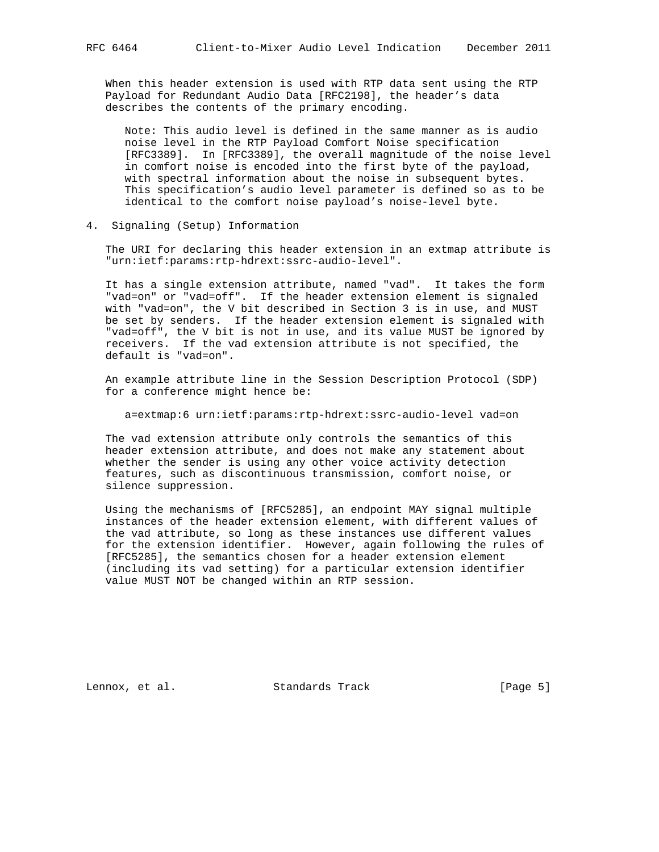When this header extension is used with RTP data sent using the RTP Payload for Redundant Audio Data [RFC2198], the header's data describes the contents of the primary encoding.

 Note: This audio level is defined in the same manner as is audio noise level in the RTP Payload Comfort Noise specification [RFC3389]. In [RFC3389], the overall magnitude of the noise level in comfort noise is encoded into the first byte of the payload, with spectral information about the noise in subsequent bytes. This specification's audio level parameter is defined so as to be identical to the comfort noise payload's noise-level byte.

4. Signaling (Setup) Information

 The URI for declaring this header extension in an extmap attribute is "urn:ietf:params:rtp-hdrext:ssrc-audio-level".

 It has a single extension attribute, named "vad". It takes the form "vad=on" or "vad=off". If the header extension element is signaled with "vad=on", the V bit described in Section 3 is in use, and MUST be set by senders. If the header extension element is signaled with "vad=off", the V bit is not in use, and its value MUST be ignored by receivers. If the vad extension attribute is not specified, the default is "vad=on".

 An example attribute line in the Session Description Protocol (SDP) for a conference might hence be:

a=extmap:6 urn:ietf:params:rtp-hdrext:ssrc-audio-level vad=on

 The vad extension attribute only controls the semantics of this header extension attribute, and does not make any statement about whether the sender is using any other voice activity detection features, such as discontinuous transmission, comfort noise, or silence suppression.

 Using the mechanisms of [RFC5285], an endpoint MAY signal multiple instances of the header extension element, with different values of the vad attribute, so long as these instances use different values for the extension identifier. However, again following the rules of [RFC5285], the semantics chosen for a header extension element (including its vad setting) for a particular extension identifier value MUST NOT be changed within an RTP session.

Lennox, et al. Standards Track [Page 5]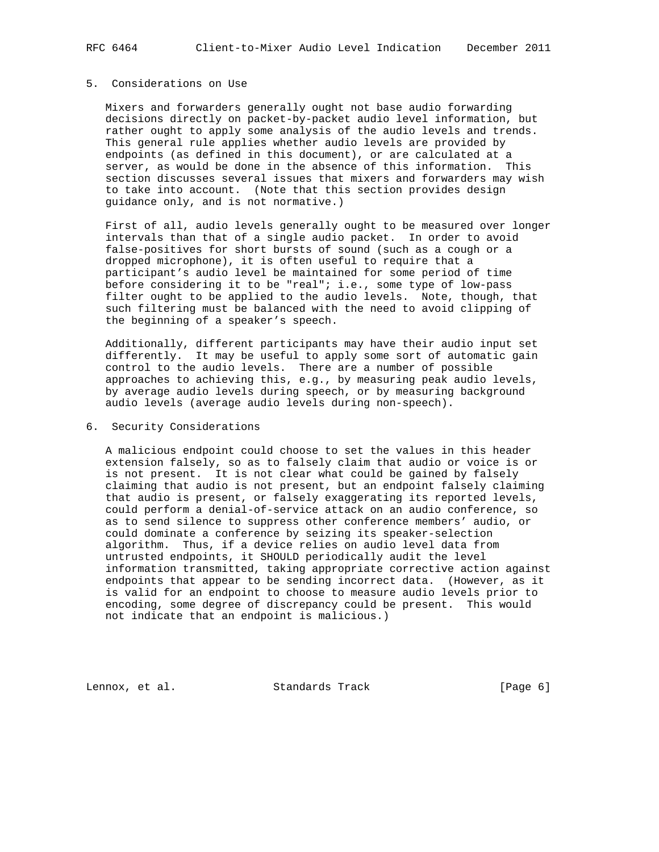#### 5. Considerations on Use

 Mixers and forwarders generally ought not base audio forwarding decisions directly on packet-by-packet audio level information, but rather ought to apply some analysis of the audio levels and trends. This general rule applies whether audio levels are provided by endpoints (as defined in this document), or are calculated at a server, as would be done in the absence of this information. This section discusses several issues that mixers and forwarders may wish to take into account. (Note that this section provides design guidance only, and is not normative.)

 First of all, audio levels generally ought to be measured over longer intervals than that of a single audio packet. In order to avoid false-positives for short bursts of sound (such as a cough or a dropped microphone), it is often useful to require that a participant's audio level be maintained for some period of time before considering it to be "real"; i.e., some type of low-pass filter ought to be applied to the audio levels. Note, though, that such filtering must be balanced with the need to avoid clipping of the beginning of a speaker's speech.

 Additionally, different participants may have their audio input set differently. It may be useful to apply some sort of automatic gain control to the audio levels. There are a number of possible approaches to achieving this, e.g., by measuring peak audio levels, by average audio levels during speech, or by measuring background audio levels (average audio levels during non-speech).

#### 6. Security Considerations

 A malicious endpoint could choose to set the values in this header extension falsely, so as to falsely claim that audio or voice is or is not present. It is not clear what could be gained by falsely claiming that audio is not present, but an endpoint falsely claiming that audio is present, or falsely exaggerating its reported levels, could perform a denial-of-service attack on an audio conference, so as to send silence to suppress other conference members' audio, or could dominate a conference by seizing its speaker-selection algorithm. Thus, if a device relies on audio level data from untrusted endpoints, it SHOULD periodically audit the level information transmitted, taking appropriate corrective action against endpoints that appear to be sending incorrect data. (However, as it is valid for an endpoint to choose to measure audio levels prior to encoding, some degree of discrepancy could be present. This would not indicate that an endpoint is malicious.)

Lennox, et al. Standards Track [Page 6]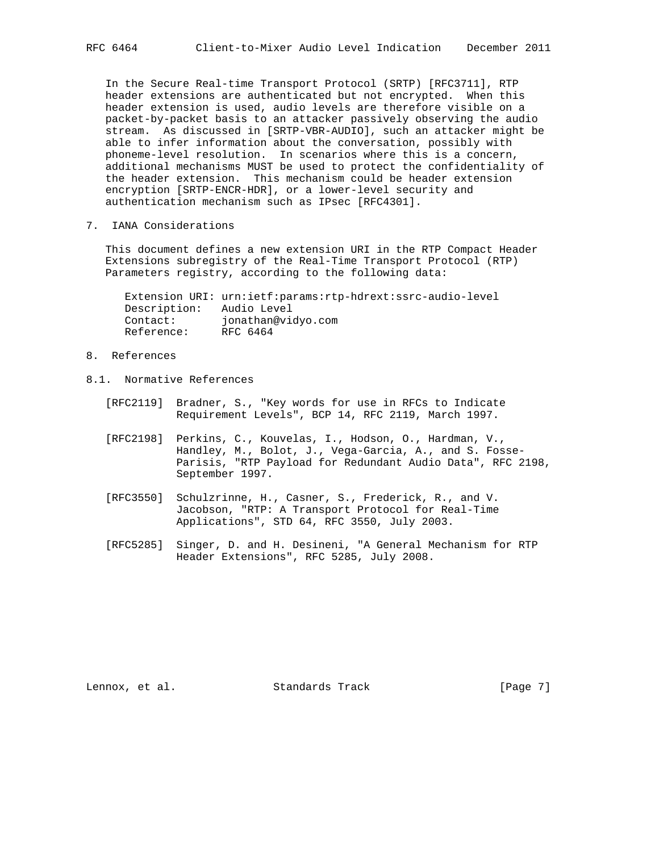In the Secure Real-time Transport Protocol (SRTP) [RFC3711], RTP header extensions are authenticated but not encrypted. When this header extension is used, audio levels are therefore visible on a packet-by-packet basis to an attacker passively observing the audio stream. As discussed in [SRTP-VBR-AUDIO], such an attacker might be able to infer information about the conversation, possibly with phoneme-level resolution. In scenarios where this is a concern, additional mechanisms MUST be used to protect the confidentiality of the header extension. This mechanism could be header extension encryption [SRTP-ENCR-HDR], or a lower-level security and authentication mechanism such as IPsec [RFC4301].

7. IANA Considerations

 This document defines a new extension URI in the RTP Compact Header Extensions subregistry of the Real-Time Transport Protocol (RTP) Parameters registry, according to the following data:

 Extension URI: urn:ietf:params:rtp-hdrext:ssrc-audio-level Description: Audio Level Contact: jonathan@vidyo.com Reference: RFC 6464

- 8. References
- 8.1. Normative References
	- [RFC2119] Bradner, S., "Key words for use in RFCs to Indicate Requirement Levels", BCP 14, RFC 2119, March 1997.
	- [RFC2198] Perkins, C., Kouvelas, I., Hodson, O., Hardman, V., Handley, M., Bolot, J., Vega-Garcia, A., and S. Fosse- Parisis, "RTP Payload for Redundant Audio Data", RFC 2198, September 1997.
	- [RFC3550] Schulzrinne, H., Casner, S., Frederick, R., and V. Jacobson, "RTP: A Transport Protocol for Real-Time Applications", STD 64, RFC 3550, July 2003.
	- [RFC5285] Singer, D. and H. Desineni, "A General Mechanism for RTP Header Extensions", RFC 5285, July 2008.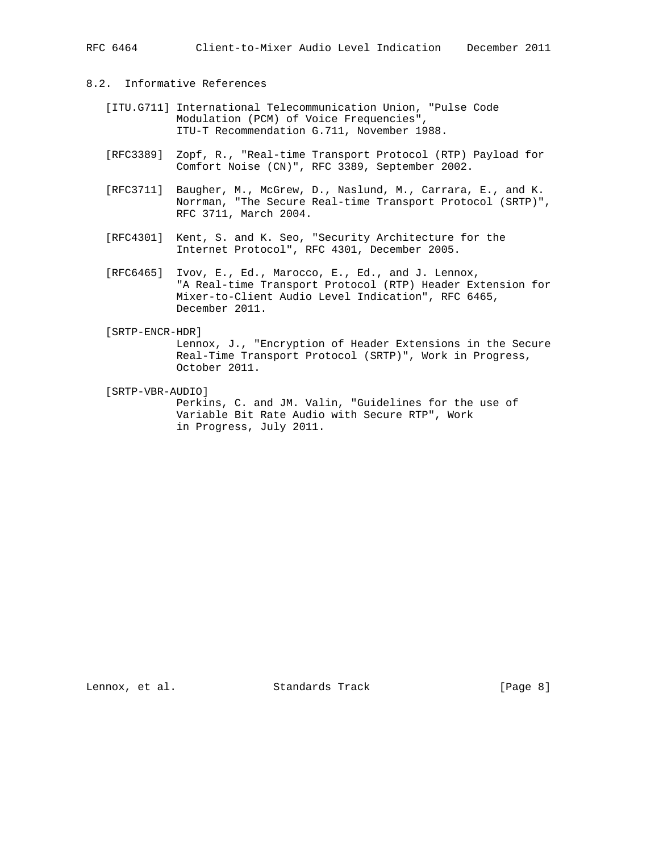# 8.2. Informative References

- [ITU.G711] International Telecommunication Union, "Pulse Code Modulation (PCM) of Voice Frequencies", ITU-T Recommendation G.711, November 1988.
- [RFC3389] Zopf, R., "Real-time Transport Protocol (RTP) Payload for Comfort Noise (CN)", RFC 3389, September 2002.
- [RFC3711] Baugher, M., McGrew, D., Naslund, M., Carrara, E., and K. Norrman, "The Secure Real-time Transport Protocol (SRTP)", RFC 3711, March 2004.
- [RFC4301] Kent, S. and K. Seo, "Security Architecture for the Internet Protocol", RFC 4301, December 2005.
- [RFC6465] Ivov, E., Ed., Marocco, E., Ed., and J. Lennox, "A Real-time Transport Protocol (RTP) Header Extension for Mixer-to-Client Audio Level Indication", RFC 6465, December 2011.

#### [SRTP-ENCR-HDR]

 Lennox, J., "Encryption of Header Extensions in the Secure Real-Time Transport Protocol (SRTP)", Work in Progress, October 2011.

[SRTP-VBR-AUDIO]

 Perkins, C. and JM. Valin, "Guidelines for the use of Variable Bit Rate Audio with Secure RTP", Work in Progress, July 2011.

Lennox, et al. Standards Track [Page 8]